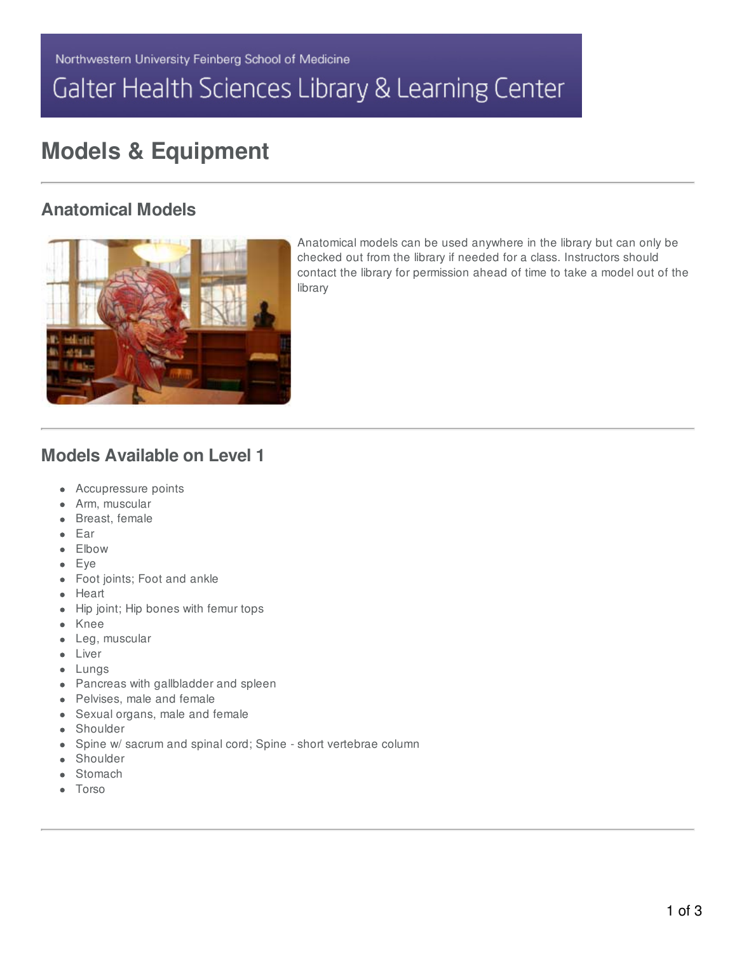# Galter Health Sciences Library & Learning Center

# **Models & Equipment**

### **Anatomical Models**



Anatomical models can be used anywhere in the library but can only be checked out from the library if needed for a class. Instructors should contact the library for permission ahead of time to take a model out of the library

### **Models Available on Level 1**

- Accupressure points
- Arm, muscular
- Breast, female
- Ear
- Elbow
- Eye
- Foot joints; Foot and ankle
- Heart
- Hip joint; Hip bones with femur tops
- Knee
- Leg, muscular
- Liver
- Lungs
- Pancreas with gallbladder and spleen
- Pelvises, male and female
- Sexual organs, male and female
- **•** Shoulder
- Spine w/ sacrum and spinal cord; Spine short vertebrae column  $\bullet$
- Shoulder
- Stomach
- Torso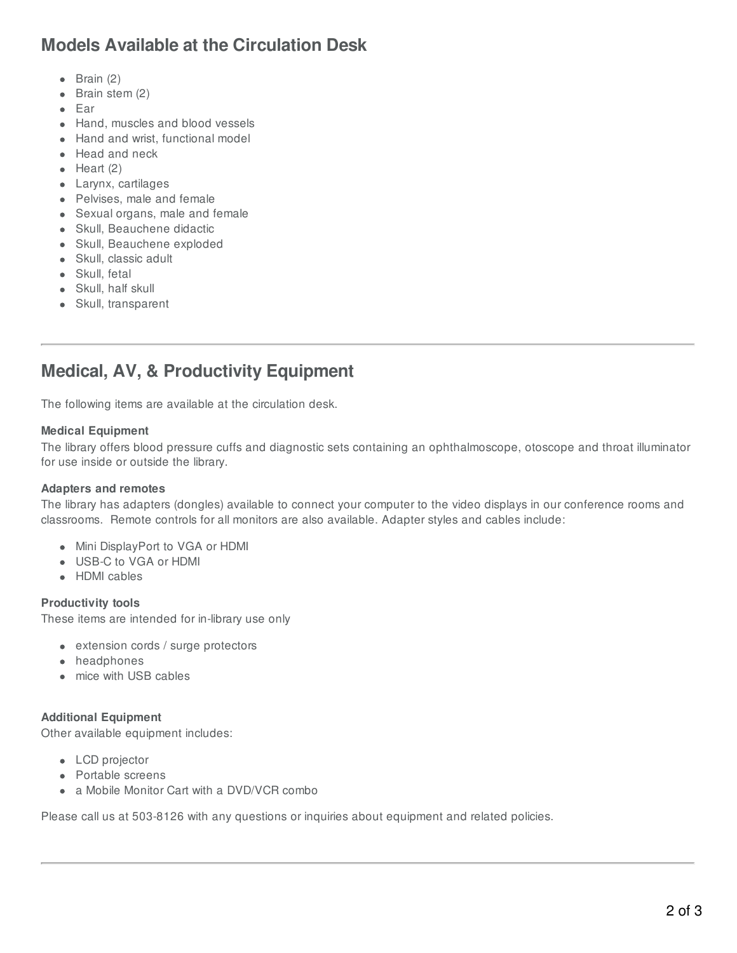### **Models Available at the Circulation Desk**

- $\bullet$  Brain (2)
- Brain stem (2)
- $\bullet$  Ear
- Hand, muscles and blood vessels
- Hand and wrist, functional model
- Head and neck
- $\bullet$  Heart (2)
- Larynx, cartilages
- Pelvises, male and female
- Sexual organs, male and female
- Skull, Beauchene didactic
- Skull, Beauchene exploded
- Skull, classic adult
- Skull, fetal
- Skull, half skull
- Skull, transparent

## **Medical, AV, & Productivity Equipment**

The following items are available at the circulation desk.

#### **Medical Equipment**

The library offers blood pressure cuffs and diagnostic sets containing an ophthalmoscope, otoscope and throat illuminator for use inside or outside the library.

#### **Adapters and remotes**

The library has adapters (dongles) available to connect your computer to the video displays in our conference rooms and classrooms. Remote controls for all monitors are also available. Adapter styles and cables include:

- Mini DisplayPort to VGA or HDMI
- USB-C to VGA or HDMI
- HDMI cables

### **Productivity tools**

These items are intended for in-library use only

- extension cords / surge protectors
- headphones
- mice with USB cables

### **Additional Equipment**

Other available equipment includes:

- LCD projector
- Portable screens
- a Mobile Monitor Cart with a DVD/VCR combo

Please call us at 503-8126 with any questions or inquiries about equipment and related policies.